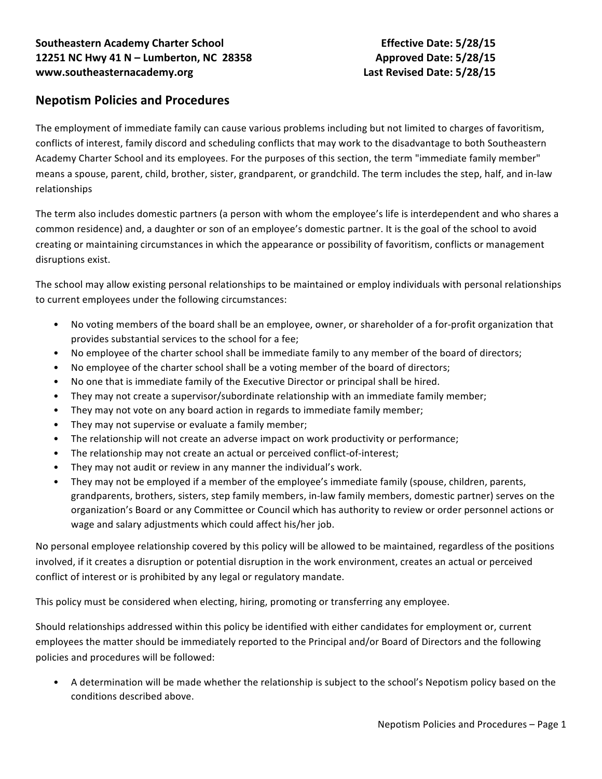## **Nepotism Policies and Procedures**

The employment of immediate family can cause various problems including but not limited to charges of favoritism, conflicts of interest, family discord and scheduling conflicts that may work to the disadvantage to both Southeastern Academy Charter School and its employees. For the purposes of this section, the term "immediate family member" means a spouse, parent, child, brother, sister, grandparent, or grandchild. The term includes the step, half, and in-law relationships

The term also includes domestic partners (a person with whom the employee's life is interdependent and who shares a common residence) and, a daughter or son of an employee's domestic partner. It is the goal of the school to avoid creating or maintaining circumstances in which the appearance or possibility of favoritism, conflicts or management disruptions exist.

The school may allow existing personal relationships to be maintained or employ individuals with personal relationships to current employees under the following circumstances:

- No voting members of the board shall be an employee, owner, or shareholder of a for-profit organization that provides substantial services to the school for a fee;
- No employee of the charter school shall be immediate family to any member of the board of directors;
- No employee of the charter school shall be a voting member of the board of directors;
- No one that is immediate family of the Executive Director or principal shall be hired.
- They may not create a supervisor/subordinate relationship with an immediate family member;
- They may not vote on any board action in regards to immediate family member;
- They may not supervise or evaluate a family member;
- The relationship will not create an adverse impact on work productivity or performance;
- The relationship may not create an actual or perceived conflict-of-interest;
- They may not audit or review in any manner the individual's work.
- They may not be employed if a member of the employee's immediate family (spouse, children, parents, grandparents, brothers, sisters, step family members, in-law family members, domestic partner) serves on the organization's Board or any Committee or Council which has authority to review or order personnel actions or wage and salary adjustments which could affect his/her job.

No personal employee relationship covered by this policy will be allowed to be maintained, regardless of the positions involved, if it creates a disruption or potential disruption in the work environment, creates an actual or perceived conflict of interest or is prohibited by any legal or regulatory mandate.

This policy must be considered when electing, hiring, promoting or transferring any employee.

Should relationships addressed within this policy be identified with either candidates for employment or, current employees the matter should be immediately reported to the Principal and/or Board of Directors and the following policies and procedures will be followed:

A determination will be made whether the relationship is subject to the school's Nepotism policy based on the conditions described above.